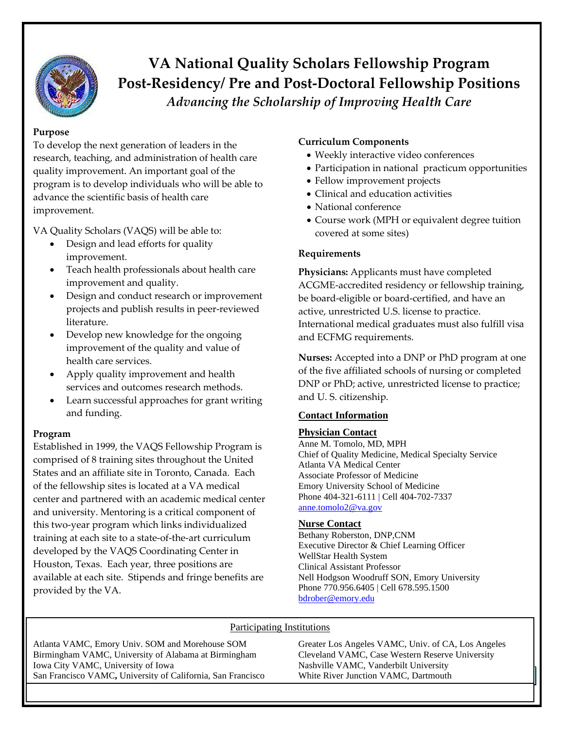

# **VA National Quality Scholars Fellowship Program Post-Residency/ Pre and Post-Doctoral Fellowship Positions** *Advancing the Scholarship of Improving Health Care*

## **Purpose**

To develop the next generation of leaders in the research, teaching, and administration of health care quality improvement. An important goal of the program is to develop individuals who will be able to advance the scientific basis of health care improvement.

VA Quality Scholars (VAQS) will be able to:

- Design and lead efforts for quality improvement.
- Teach health professionals about health care improvement and quality.
- Design and conduct research or improvement projects and publish results in peer-reviewed literature.
- Develop new knowledge for the ongoing improvement of the quality and value of health care services.
- Apply quality improvement and health services and outcomes research methods.
- Learn successful approaches for grant writing and funding.

# **Program**

Established in 1999, the VAQS Fellowship Program is comprised of 8 training sites throughout the United States and an affiliate site in Toronto, Canada. Each of the fellowship sites is located at a VA medical center and partnered with an academic medical center and university. Mentoring is a critical component of this two-year program which links individualized training at each site to a state-of-the-art curriculum developed by the VAQS Coordinating Center in Houston, Texas. Each year, three positions are available at each site. Stipends and fringe benefits are provided by the VA.

# **Curriculum Components**

- Weekly interactive video conferences
- Participation in national practicum opportunities
- Fellow improvement projects
- Clinical and education activities
- National conference
- Course work (MPH or equivalent degree tuition covered at some sites)

## **Requirements**

**Physicians:** Applicants must have completed ACGME-accredited residency or fellowship training, be board-eligible or board-certified, and have an active, unrestricted U.S. license to practice. International medical graduates must also fulfill visa and ECFMG requirements.

**Nurses:** Accepted into a DNP or PhD program at one of the five affiliated schools of nursing or completed DNP or PhD; active, unrestricted license to practice; and U. S. citizenship.

## **Contact Information**

## **Physician Contact**

Anne M. Tomolo, MD, MPH Chief of Quality Medicine, Medical Specialty Service Atlanta VA Medical Center Associate Professor of Medicine Emory University School of Medicine Phone 404-321-6111 | Cell 404-702-7337 [anne.tomolo2@va.gov](mailto:anne.tomolo2@va.gov)

#### **Nurse Contact**

Bethany Roberston, DNP,CNM Executive Director & Chief Learning Officer WellStar Health System Clinical Assistant Professor Nell Hodgson Woodruff SON, Emory University Phone 770.956.6405 | Cell 678.595.1500 [bdrober@emory.edu](mailto:bdrober@emory.edu)

# Participating Institutions

San Francisco VAMC, University of California, San Francisco White River Junction VAMC, Dartmouth Atlanta VAMC, Emory Univ. SOM and Morehouse SOM Greater Los Angeles VAMC, Univ. of CA, Los Angeles Birmingham VAMC, University of Alabama at Birmingham Cleveland VAMC, Case Western Reserve University Iowa City VAMC, University of Iowa Nashville VAMC, Vanderbilt University